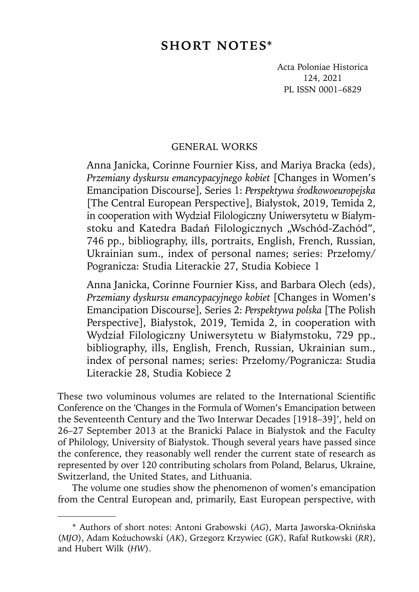# **SHORT NOTES\***

Acta Poloniae Historica 124, 2021 PL ISSN 0001–6829

# GENERAL WORKS1

Anna Janicka, Corinne Fournier Kiss, and Mariya Bracka (eds), *Przemiany dyskursu emancypacyjnego kobiet* [Changes in Women's Emancipation Discourse]*,* Series 1: *Perspektywa środkowoeuropejska*  [The Central European Perspective], Białystok, 2019, Temida 2, in cooperation with Wydział Filologiczny Uniwersytetu w Białymstoku and Katedra Badań Filologicznych "Wschód-Zachód", 746 pp., bibliography, ills, portraits, English, French, Russian, Ukrainian sum., index of personal names; series: Przełomy/ Pogranicza: Studia Literackie 27, Studia Kobiece 1

Anna Janicka, Corinne Fournier Kiss, and Barbara Olech (eds), *Przemiany dyskursu emancypacyjnego kobiet* [Changes in Women's Emancipation Discourse]*,* Series 2: *Perspektywa polska* [The Polish Perspective], Białystok, 2019, Temida 2, in cooperation with Wydział Filologiczny Uniwersytetu w Białymstoku, 729 pp., bibliography, ills, English, French, Russian, Ukrainian sum., index of personal names; series: Przełomy/Pogranicza: Studia Literackie 28, Studia Kobiece 2

These two voluminous volumes are related to the International Scientific Conference on the 'Changes in the Formula of Women's Emancipation between the Seventeenth Century and the Two Interwar Decades [1918–39]', held on 26–27 September 2013 at the Branicki Palace in Białystok and the Faculty of Philology, University of Białystok. Though several years have passed since the conference, they reasonably well render the current state of research as represented by over 120 contributing scholars from Poland, Belarus, Ukraine, Switzerland, the United States, and Lithuania.

The volume one studies show the phenomenon of women's emancipation from the Central European and, primarily, East European perspective, with

<sup>\*</sup> Authors of short notes: Antoni Grabowski (*AG*), Marta Jaworska-Oknińska (*MJO*), Adam Kożuchowski (*AK*), Grzegorz Krzywiec (*GK*), Rafał Rutkowski (*RR*), and Hubert Wilk (*HW*).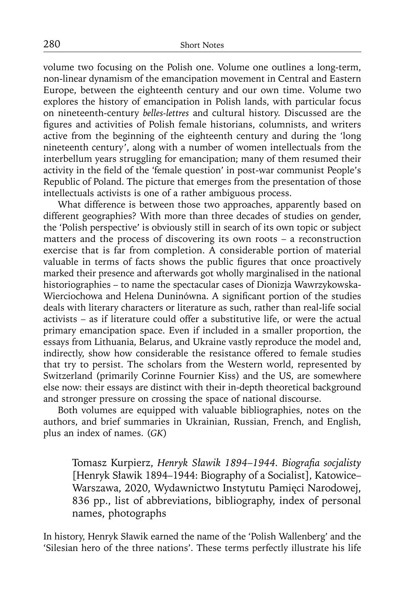volume two focusing on the Polish one. Volume one outlines a long-term, non-linear dynamism of the emancipation movement in Central and Eastern Europe, between the eighteenth century and our own time. Volume two explores the history of emancipation in Polish lands, with particular focus on nineteenth-century *belles-lettres* and cultural history. Discussed are the figures and activities of Polish female historians, columnists, and writers active from the beginning of the eighteenth century and during the 'long nineteenth century', along with a number of women intellectuals from the interbellum years struggling for emancipation; many of them resumed their activity in the field of the 'female question' in post-war communist People's Republic of Poland. The picture that emerges from the presentation of those intellectuals activists is one of a rather ambiguous process.

What difference is between those two approaches, apparently based on different geographies? With more than three decades of studies on gender, the 'Polish perspective' is obviously still in search of its own topic or subject matters and the process of discovering its own roots – a reconstruction exercise that is far from completion. A considerable portion of material valuable in terms of facts shows the public figures that once proactively marked their presence and afterwards got wholly marginalised in the national historiographies – to name the spectacular cases of Dionizja Wawrzykowska-Wierciochowa and Helena Duninówna. A significant portion of the studies deals with literary characters or literature as such, rather than real-life social activists – as if literature could offer a substitutive life, or were the actual primary emancipation space. Even if included in a smaller proportion, the essays from Lithuania, Belarus, and Ukraine vastly reproduce the model and, indirectly, show how considerable the resistance offered to female studies that try to persist. The scholars from the Western world, represented by Switzerland (primarily Corinne Fournier Kiss) and the US, are somewhere else now: their essays are distinct with their in-depth theoretical background and stronger pressure on crossing the space of national discourse.

Both volumes are equipped with valuable bibliographies, notes on the authors, and brief summaries in Ukrainian, Russian, French, and English, plus an index of names. (*GK*)

Tomasz Kurpierz, *Henryk Sławik 1894–1944. Biografia socjalisty* [Henryk Sławik 1894–1944: Biography of a Socialist], Katowice– Warszawa, 2020, Wydawnictwo Instytutu Pamięci Narodowej, 836 pp., list of abbreviations, bibliography, index of personal names, photographs

In history, Henryk Sławik earned the name of the 'Polish Wallenberg' and the 'Silesian hero of the three nations'. These terms perfectly illustrate his life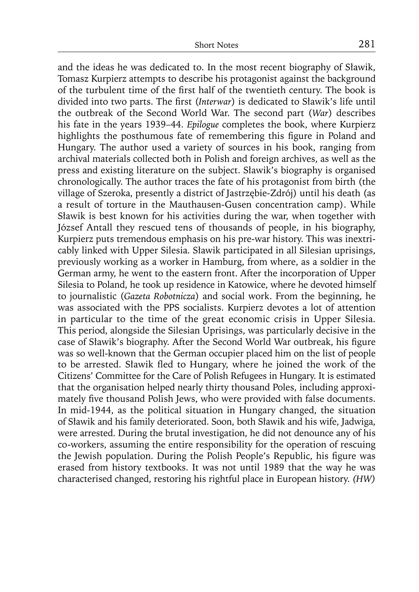and the ideas he was dedicated to. In the most recent biography of Sławik, Tomasz Kurpierz attempts to describe his protagonist against the background of the turbulent time of the first half of the twentieth century. The book is divided into two parts. The first (*Interwar*) is dedicated to Sławik's life until the outbreak of the Second World War. The second part (*War*) describes his fate in the years 1939–44. *Epilogue* completes the book, where Kurpierz highlights the posthumous fate of remembering this figure in Poland and Hungary. The author used a variety of sources in his book, ranging from archival materials collected both in Polish and foreign archives, as well as the press and existing literature on the subject. Sławik's biography is organised chronologically. The author traces the fate of his protagonist from birth (the village of Szeroka, presently a district of Jastrzębie-Zdrój) until his death (as a result of torture in the Mauthausen-Gusen concentration camp). While Sławik is best known for his activities during the war, when together with József Antall they rescued tens of thousands of people, in his biography, Kurpierz puts tremendous emphasis on his pre-war history. This was inextricably linked with Upper Silesia. Sławik participated in all Silesian uprisings, previously working as a worker in Hamburg, from where, as a soldier in the German army, he went to the eastern front. After the incorporation of Upper Silesia to Poland, he took up residence in Katowice, where he devoted himself to journalistic (*Gazeta Robotnicza*) and social work. From the beginning, he was associated with the PPS socialists. Kurpierz devotes a lot of attention in particular to the time of the great economic crisis in Upper Silesia. This period, alongside the Silesian Uprisings, was particularly decisive in the case of Sławik's biography. After the Second World War outbreak, his figure was so well-known that the German occupier placed him on the list of people to be arrested. Sławik fled to Hungary, where he joined the work of the Citizens' Committee for the Care of Polish Refugees in Hungary. It is estimated that the organisation helped nearly thirty thousand Poles, including approximately five thousand Polish Jews, who were provided with false documents. In mid-1944, as the political situation in Hungary changed, the situation of Sławik and his family deteriorated. Soon, both Sławik and his wife, Jadwiga, were arrested. During the brutal investigation, he did not denounce any of his co-workers, assuming the entire responsibility for the operation of rescuing the Jewish population. During the Polish People's Republic, his figure was erased from history textbooks. It was not until 1989 that the way he was characterised changed, restoring his rightful place in European history. *(HW)*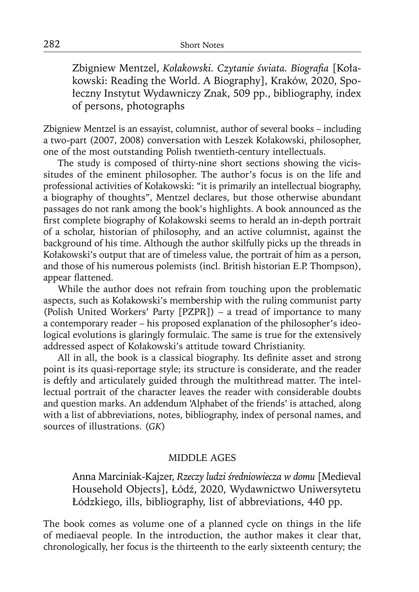Zbigniew Mentzel, Kołakowski. Czytanie świata. Biografia [Kołakowski: Reading the World. A Biography], Kraków, 2020, Społeczny Instytut Wydawniczy Znak, 509 pp., bibliography, index of persons, photographs

Zbigniew Mentzel is an essayist, columnist, author of several books – including a two-part (2007, 2008) conversation with Leszek Kołakowski, philosopher, one of the most outstanding Polish twentieth-century intellectuals.

The study is composed of thirty-nine short sections showing the vicissitudes of the eminent philosopher. The author's focus is on the life and professional activities of Kołakowski: "it is primarily an intellectual biography, a biography of thoughts", Mentzel declares, but those otherwise abundant passages do not rank among the book's highlights. A book announced as the first complete biography of Kołakowski seems to herald an in-depth portrait of a scholar, historian of philosophy, and an active columnist, against the background of his time. Although the author skilfully picks up the threads in Kołakowski's output that are of timeless value, the portrait of him as a person, and those of his numerous polemists (incl. British historian E.P. Thompson), appear flattened.

While the author does not refrain from touching upon the problematic aspects, such as Kołakowski's membership with the ruling communist party (Polish United Workers' Party [PZPR]) – a tread of importance to many a contemporary reader – his proposed explanation of the philosopher's ideological evolutions is glaringly formulaic. The same is true for the extensively addressed aspect of Kołakowski's attitude toward Christianity.

All in all, the book is a classical biography. Its definite asset and strong point is its quasi-reportage style; its structure is considerate, and the reader is deftly and articulately guided through the multithread matter. The intellectual portrait of the character leaves the reader with considerable doubts and question marks. An addendum 'Alphabet of the friends' is attached, along with a list of abbreviations, notes, bibliography, index of personal names, and sources of illustrations. (*GK*)

# MIDDLE AGES

Anna Marciniak-Kajzer, *Rzeczy ludzi średniowiecza w domu* [Medieval Household Objects], Łódź, 2020, Wydawnictwo Uniwersytetu Łódzkiego, ills, bibliography, list of abbreviations, 440 pp.

The book comes as volume one of a planned cycle on things in the life of mediaeval people. In the introduction, the author makes it clear that, chronologically, her focus is the thirteenth to the early sixteenth century; the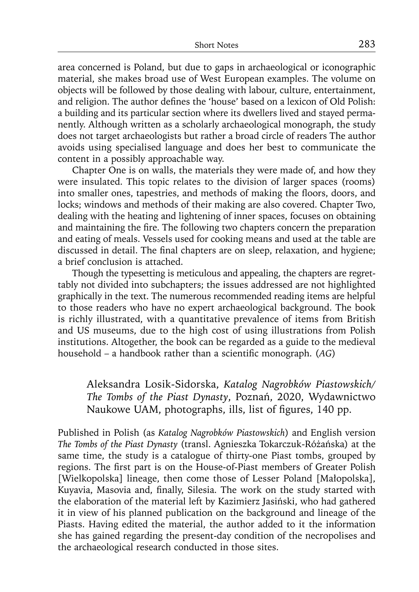area concerned is Poland, but due to gaps in archaeological or iconographic material, she makes broad use of West European examples. The volume on objects will be followed by those dealing with labour, culture, entertainment, and religion. The author defines the 'house' based on a lexicon of Old Polish: a building and its particular section where its dwellers lived and stayed permanently. Although written as a scholarly archaeological monograph, the study does not target archaeologists but rather a broad circle of readers The author avoids using specialised language and does her best to communicate the content in a possibly approachable way.

Chapter One is on walls, the materials they were made of, and how they were insulated. This topic relates to the division of larger spaces (rooms) into smaller ones, tapestries, and methods of making the floors, doors, and locks; windows and methods of their making are also covered. Chapter Two, dealing with the heating and lightening of inner spaces, focuses on obtaining and maintaining the fire. The following two chapters concern the preparation and eating of meals. Vessels used for cooking means and used at the table are discussed in detail. The final chapters are on sleep, relaxation, and hygiene; a brief conclusion is attached.

Though the typesetting is meticulous and appealing, the chapters are regrettably not divided into subchapters; the issues addressed are not highlighted graphically in the text. The numerous recommended reading items are helpful to those readers who have no expert archaeological background. The book is richly illustrated, with a quantitative prevalence of items from British and US museums, due to the high cost of using illustrations from Polish institutions. Altogether, the book can be regarded as a guide to the medieval household – a handbook rather than a scientific monograph. (*AG*)

Aleksandra Losik-Sidorska, *Katalog Nagrobków Piastowskich/ The Tombs of the Piast Dynasty*, Poznań, 2020, Wydawnictwo Naukowe UAM, photographs, ills, list of figures, 140 pp.

Published in Polish (as *Katalog Nagrobków Piastowskich*) and English version *The Tombs of the Piast Dynasty* (transl. Agnieszka Tokarczuk-Różańska) at the same time, the study is a catalogue of thirty-one Piast tombs, grouped by regions. The first part is on the House-of-Piast members of Greater Polish [Wielkopolska] lineage, then come those of Lesser Poland [Małopolska], Kuyavia, Masovia and, finally, Silesia. The work on the study started with the elaboration of the material left by Kazimierz Jasiński, who had gathered it in view of his planned publication on the background and lineage of the Piasts. Having edited the material, the author added to it the information she has gained regarding the present-day condition of the necropolises and the archaeological research conducted in those sites.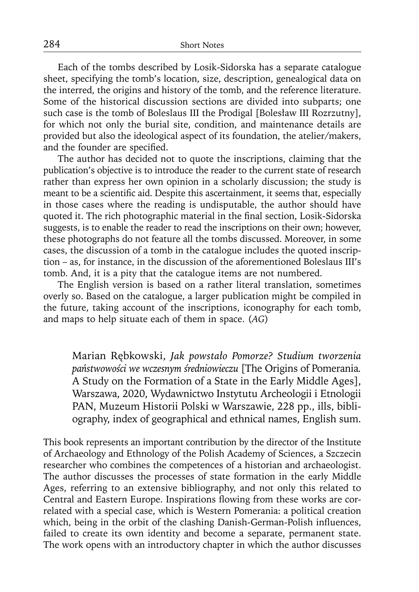Each of the tombs described by Losik-Sidorska has a separate catalogue sheet, specifying the tomb's location, size, description, genealogical data on the interred, the origins and history of the tomb, and the reference literature. Some of the historical discussion sections are divided into subparts; one such case is the tomb of Boleslaus III the Prodigal [Bolesław III Rozrzutny], for which not only the burial site, condition, and maintenance details are provided but also the ideological aspect of its foundation, the atelier/makers, and the founder are specified.

The author has decided not to quote the inscriptions, claiming that the publication's objective is to introduce the reader to the current state of research rather than express her own opinion in a scholarly discussion; the study is meant to be a scientific aid. Despite this ascertainment, it seems that, especially in those cases where the reading is undisputable, the author should have quoted it. The rich photographic material in the final section, Losik-Sidorska suggests, is to enable the reader to read the inscriptions on their own; however, these photographs do not feature all the tombs discussed. Moreover, in some cases, the discussion of a tomb in the catalogue includes the quoted inscription – as, for instance, in the discussion of the aforementioned Boleslaus III's tomb. And, it is a pity that the catalogue items are not numbered.

The English version is based on a rather literal translation, sometimes overly so. Based on the catalogue, a larger publication might be compiled in the future, taking account of the inscriptions, iconography for each tomb, and maps to help situate each of them in space. (*AG*)

Marian Rębkowski, *Jak powstało Pomorze? Studium tworzenia państwowości we wczesnym średniowieczu* [The Origins of Pomerania*.*  A Study on the Formation of a State in the Early Middle Ages], Warszawa, 2020, Wydawnictwo Instytutu Archeologii i Etnologii PAN, Muzeum Historii Polski w Warszawie, 228 pp., ills, bibliography, index of geographical and ethnical names, English sum.

This book represents an important contribution by the director of the Institute of Archaeology and Ethnology of the Polish Academy of Sciences, a Szczecin researcher who combines the competences of a historian and archaeologist. The author discusses the processes of state formation in the early Middle Ages, referring to an extensive bibliography, and not only this related to Central and Eastern Europe. Inspirations flowing from these works are correlated with a special case, which is Western Pomerania: a political creation which, being in the orbit of the clashing Danish-German-Polish influences, failed to create its own identity and become a separate, permanent state. The work opens with an introductory chapter in which the author discusses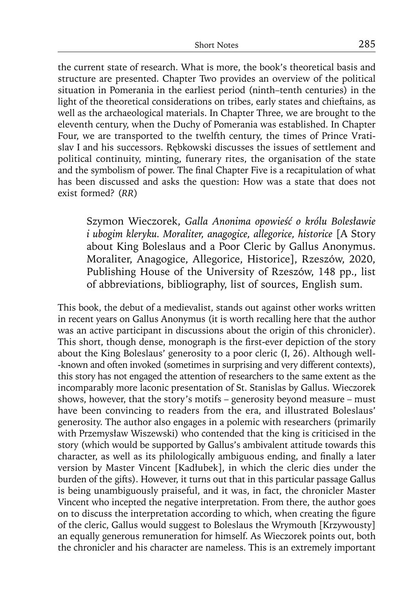the current state of research. What is more, the book's theoretical basis and structure are presented. Chapter Two provides an overview of the political situation in Pomerania in the earliest period (ninth–tenth centuries) in the light of the theoretical considerations on tribes, early states and chieftains, as well as the archaeological materials. In Chapter Three, we are brought to the eleventh century, when the Duchy of Pomerania was established. In Chapter Four, we are transported to the twelfth century, the times of Prince Vratislav I and his successors. Rębkowski discusses the issues of settlement and political continuity, minting, funerary rites, the organisation of the state and the symbolism of power. The final Chapter Five is a recapitulation of what has been discussed and asks the question: How was a state that does not exist formed? (*RR*)

Szymon Wieczorek, *Galla Anonima opowieść o królu Bolesławie i ubogim kleryku. Moraliter, anagogice, allegorice, historice* [A Story about King Boleslaus and a Poor Cleric by Gallus Anonymus. Moraliter, Anagogice, Allegorice, Historice], Rzeszów, 2020, Publishing House of the University of Rzeszów, 148 pp., list of abbreviations, bibliography, list of sources, English sum.

This book, the debut of a medievalist, stands out against other works written in recent years on Gallus Anonymus (it is worth recalling here that the author was an active participant in discussions about the origin of this chronicler). This short, though dense, monograph is the first-ever depiction of the story about the King Boleslaus' generosity to a poor cleric (I, 26). Although well- -known and often invoked (sometimes in surprising and very different contexts), this story has not engaged the attention of researchers to the same extent as the incomparably more laconic presentation of St. Stanislas by Gallus. Wieczorek shows, however, that the story's motifs – generosity beyond measure – must have been convincing to readers from the era, and illustrated Boleslaus' generosity. The author also engages in a polemic with researchers (primarily with Przemysław Wiszewski) who contended that the king is criticised in the story (which would be supported by Gallus's ambivalent attitude towards this character, as well as its philologically ambiguous ending, and finally a later version by Master Vincent [Kadłubek], in which the cleric dies under the burden of the gifts). However, it turns out that in this particular passage Gallus is being unambiguously praiseful, and it was, in fact, the chronicler Master Vincent who incepted the negative interpretation. From there, the author goes on to discuss the interpretation according to which, when creating the figure of the cleric, Gallus would suggest to Boleslaus the Wrymouth [Krzywousty] an equally generous remuneration for himself. As Wieczorek points out, both the chronicler and his character are nameless. This is an extremely important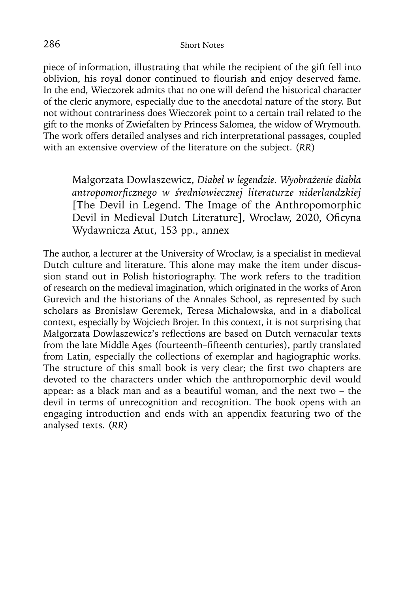piece of information, illustrating that while the recipient of the gift fell into oblivion, his royal donor continued to flourish and enjoy deserved fame. In the end, Wieczorek admits that no one will defend the historical character of the cleric anymore, especially due to the anecdotal nature of the story. But not without contrariness does Wieczorek point to a certain trail related to the gift to the monks of Zwiefalten by Princess Salomea, the widow of Wrymouth. The work offers detailed analyses and rich interpretational passages, coupled with an extensive overview of the literature on the subject. (*RR*)

Małgorzata Dowlaszewicz, *Diabeł w legendzie. Wyobrażenie diabła antropomorfi cznego w średniowiecznej literaturze niderlandzkiej* [The Devil in Legend. The Image of the Anthropomorphic Devil in Medieval Dutch Literature], Wrocław, 2020, Oficyna Wydawnicza Atut, 153 pp., annex

The author, a lecturer at the University of Wrocław, is a specialist in medieval Dutch culture and literature. This alone may make the item under discussion stand out in Polish historiography. The work refers to the tradition of research on the medieval imagination, which originated in the works of Aron Gurevich and the historians of the Annales School, as represented by such scholars as Bronisław Geremek, Teresa Michałowska, and in a diabolical context, especially by Wojciech Brojer. In this context, it is not surprising that Małgorzata Dowlaszewicz's reflections are based on Dutch vernacular texts from the late Middle Ages (fourteenth–fifteenth centuries), partly translated from Latin, especially the collections of exemplar and hagiographic works. The structure of this small book is very clear; the first two chapters are devoted to the characters under which the anthropomorphic devil would appear: as a black man and as a beautiful woman, and the next two – the devil in terms of unrecognition and recognition. The book opens with an engaging introduction and ends with an appendix featuring two of the analysed texts. (*RR*)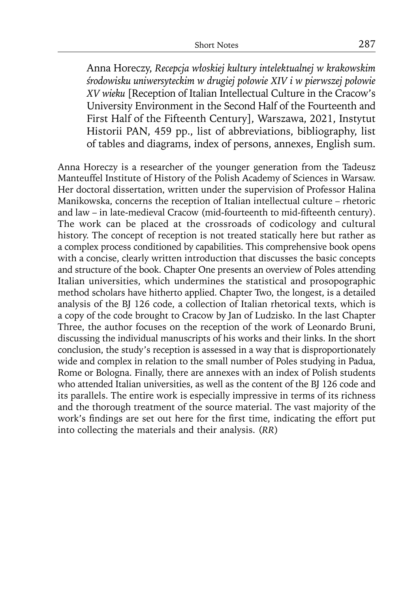Anna Horeczy, *Recepcja włoskiej kultury intelektualnej w krakowskim środowisku uniwersyteckim w drugiej połowie XIV i w pierwszej połowie XV wieku* [Reception of Italian Intellectual Culture in the Cracow's University Environment in the Second Half of the Fourteenth and First Half of the Fifteenth Century], Warszawa, 2021, Instytut Historii PAN, 459 pp., list of abbreviations, bibliography, list of tables and diagrams, index of persons, annexes, English sum.

Anna Horeczy is a researcher of the younger generation from the Tadeusz Manteuffel Institute of History of the Polish Academy of Sciences in Warsaw. Her doctoral dissertation, written under the supervision of Professor Halina Manikowska, concerns the reception of Italian intellectual culture – rhetoric and law – in late-medieval Cracow (mid-fourteenth to mid-fifteenth century). The work can be placed at the crossroads of codicology and cultural history. The concept of reception is not treated statically here but rather as a complex process conditioned by capabilities. This comprehensive book opens with a concise, clearly written introduction that discusses the basic concepts and structure of the book. Chapter One presents an overview of Poles attending Italian universities, which undermines the statistical and prosopographic method scholars have hitherto applied. Chapter Two, the longest, is a detailed analysis of the BJ 126 code, a collection of Italian rhetorical texts, which is a copy of the code brought to Cracow by Jan of Ludzisko. In the last Chapter Three, the author focuses on the reception of the work of Leonardo Bruni, discussing the individual manuscripts of his works and their links. In the short conclusion, the study's reception is assessed in a way that is disproportionately wide and complex in relation to the small number of Poles studying in Padua, Rome or Bologna. Finally, there are annexes with an index of Polish students who attended Italian universities, as well as the content of the BJ 126 code and its parallels. The entire work is especially impressive in terms of its richness and the thorough treatment of the source material. The vast majority of the work's findings are set out here for the first time, indicating the effort put into collecting the materials and their analysis. (*RR*)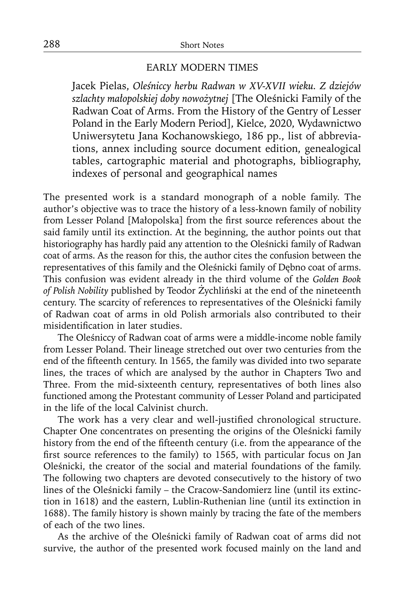# EARLY MODERN TIMES

Jacek Pielas, *Oleśniccy herbu Radwan w XV-XVII wieku. Z dziejów szlachty małopolskiej doby nowożytnej* [The Oleśnicki Family of the Radwan Coat of Arms. From the History of the Gentry of Lesser Poland in the Early Modern Period], Kielce, 2020, Wydawnictwo Uniwersytetu Jana Kochanowskiego, 186 pp., list of abbreviations, annex including source document edition, genealogical tables, cartographic material and photographs, bibliography, indexes of personal and geographical names

The presented work is a standard monograph of a noble family. The author's objective was to trace the history of a less-known family of nobility from Lesser Poland [Małopolska] from the first source references about the said family until its extinction. At the beginning, the author points out that historiography has hardly paid any attention to the Oleśnicki family of Radwan coat of arms. As the reason for this, the author cites the confusion between the representatives of this family and the Oleśnicki family of Dębno coat of arms. This confusion was evident already in the third volume of the *Golden Book of Polish Nobility* published by Teodor Żychliński at the end of the nineteenth century. The scarcity of references to representatives of the Oleśnicki family of Radwan coat of arms in old Polish armorials also contributed to their misidentification in later studies.

The Oleśniccy of Radwan coat of arms were a middle-income noble family from Lesser Poland. Their lineage stretched out over two centuries from the end of the fifteenth century. In 1565, the family was divided into two separate lines, the traces of which are analysed by the author in Chapters Two and Three. From the mid-sixteenth century, representatives of both lines also functioned among the Protestant community of Lesser Poland and participated in the life of the local Calvinist church.

The work has a very clear and well-justified chronological structure. Chapter One concentrates on presenting the origins of the Oleśnicki family history from the end of the fifteenth century (i.e. from the appearance of the first source references to the family) to 1565, with particular focus on Jan Oleśnicki, the creator of the social and material foundations of the family. The following two chapters are devoted consecutively to the history of two lines of the Oleśnicki family – the Cracow-Sandomierz line (until its extinction in 1618) and the eastern, Lublin-Ruthenian line (until its extinction in 1688). The family history is shown mainly by tracing the fate of the members of each of the two lines.

As the archive of the Oleśnicki family of Radwan coat of arms did not survive, the author of the presented work focused mainly on the land and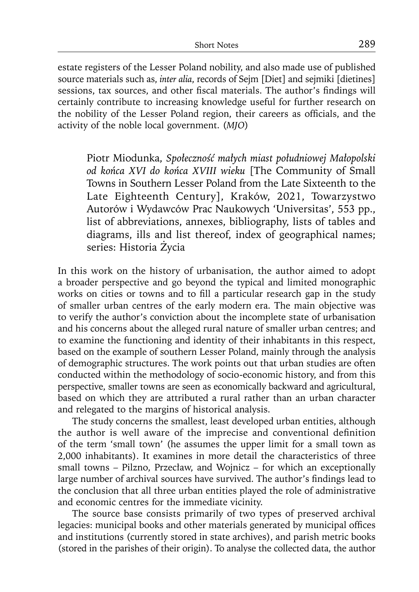estate registers of the Lesser Poland nobility, and also made use of published source materials such as, *inter alia*, records of Sejm [Diet] and sejmiki [dietines] sessions, tax sources, and other fiscal materials. The author's findings will certainly contribute to increasing knowledge useful for further research on the nobility of the Lesser Poland region, their careers as officials, and the activity of the noble local government. (*MJO*)

Piotr Miodunka, *Społeczność małych miast południowej Małopolski od końca XVI do końca XVIII wieku* [The Community of Small Towns in Southern Lesser Poland from the Late Sixteenth to the Late Eighteenth Century], Kraków, 2021, Towarzystwo Autorów i Wydawców Prac Naukowych 'Universitas', 553 pp., list of abbreviations, annexes, bibliography, lists of tables and diagrams, ills and list thereof, index of geographical names; series: Historia Życia

In this work on the history of urbanisation, the author aimed to adopt a broader perspective and go beyond the typical and limited monographic works on cities or towns and to fill a particular research gap in the study of smaller urban centres of the early modern era. The main objective was to verify the author's conviction about the incomplete state of urbanisation and his concerns about the alleged rural nature of smaller urban centres; and to examine the functioning and identity of their inhabitants in this respect, based on the example of southern Lesser Poland, mainly through the analysis of demographic structures. The work points out that urban studies are often conducted within the methodology of socio-economic history, and from this perspective, smaller towns are seen as economically backward and agricultural, based on which they are attributed a rural rather than an urban character and relegated to the margins of historical analysis.

The study concerns the smallest, least developed urban entities, although the author is well aware of the imprecise and conventional definition of the term 'small town' (he assumes the upper limit for a small town as 2,000 inhabitants). It examines in more detail the characteristics of three small towns – Pilzno, Przecław, and Wojnicz – for which an exceptionally large number of archival sources have survived. The author's findings lead to the conclusion that all three urban entities played the role of administrative and economic centres for the immediate vicinity.

The source base consists primarily of two types of preserved archival legacies: municipal books and other materials generated by municipal offices and institutions (currently stored in state archives), and parish metric books (stored in the parishes of their origin). To analyse the collected data, the author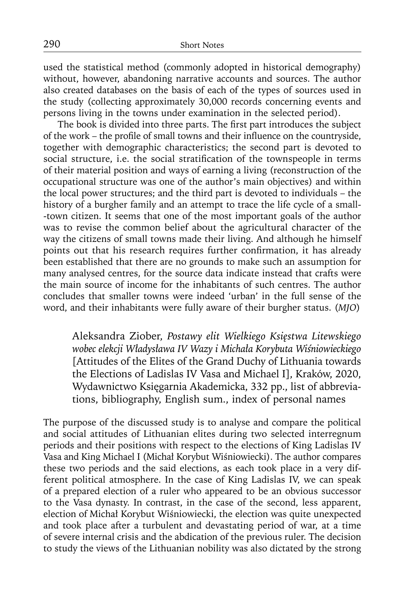used the statistical method (commonly adopted in historical demography) without, however, abandoning narrative accounts and sources. The author also created databases on the basis of each of the types of sources used in the study (collecting approximately 30,000 records concerning events and persons living in the towns under examination in the selected period).

The book is divided into three parts. The first part introduces the subject of the work – the profile of small towns and their influence on the countryside, together with demographic characteristics; the second part is devoted to social structure, i.e. the social stratification of the townspeople in terms of their material position and ways of earning a living (reconstruction of the occupational structure was one of the author's main objectives) and within the local power structures; and the third part is devoted to individuals – the history of a burgher family and an attempt to trace the life cycle of a small- -town citizen. It seems that one of the most important goals of the author was to revise the common belief about the agricultural character of the way the citizens of small towns made their living. And although he himself points out that his research requires further confirmation, it has already been established that there are no grounds to make such an assumption for many analysed centres, for the source data indicate instead that crafts were the main source of income for the inhabitants of such centres. The author concludes that smaller towns were indeed 'urban' in the full sense of the word, and their inhabitants were fully aware of their burgher status. (*MJO*)

Aleksandra Ziober, *Postawy elit Wielkiego Księstwa Litewskiego wobec elekcji Władysława IV Wazy i Michała Korybuta Wiśniowieckiego* [Attitudes of the Elites of the Grand Duchy of Lithuania towards the Elections of Ladislas IV Vasa and Michael I], Kraków, 2020, Wydawnictwo Księgarnia Akademicka, 332 pp., list of abbreviations, bibliography, English sum., index of personal names

The purpose of the discussed study is to analyse and compare the political and social attitudes of Lithuanian elites during two selected interregnum periods and their positions with respect to the elections of King Ladislas IV Vasa and King Michael I (Michał Korybut Wiśniowiecki). The author compares these two periods and the said elections, as each took place in a very different political atmosphere. In the case of King Ladislas IV, we can speak of a prepared election of a ruler who appeared to be an obvious successor to the Vasa dynasty. In contrast, in the case of the second, less apparent, election of Michał Korybut Wiśniowiecki, the election was quite unexpected and took place after a turbulent and devastating period of war, at a time of severe internal crisis and the abdication of the previous ruler. The decision to study the views of the Lithuanian nobility was also dictated by the strong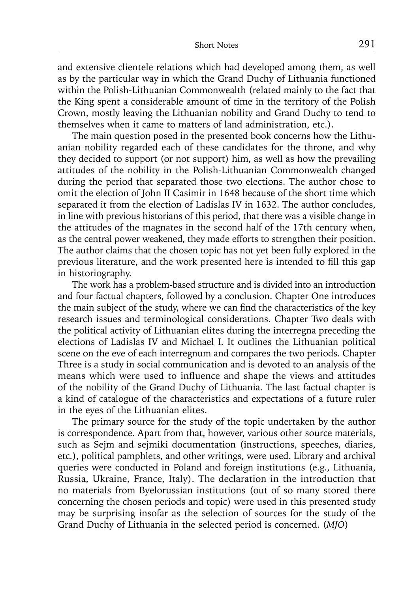and extensive clientele relations which had developed among them, as well as by the particular way in which the Grand Duchy of Lithuania functioned within the Polish-Lithuanian Commonwealth (related mainly to the fact that the King spent a considerable amount of time in the territory of the Polish Crown, mostly leaving the Lithuanian nobility and Grand Duchy to tend to themselves when it came to matters of land administration, etc.).

The main question posed in the presented book concerns how the Lithuanian nobility regarded each of these candidates for the throne, and why they decided to support (or not support) him, as well as how the prevailing attitudes of the nobility in the Polish-Lithuanian Commonwealth changed during the period that separated those two elections. The author chose to omit the election of John II Casimir in 1648 because of the short time which separated it from the election of Ladislas IV in 1632. The author concludes, in line with previous historians of this period, that there was a visible change in the attitudes of the magnates in the second half of the 17th century when, as the central power weakened, they made efforts to strengthen their position. The author claims that the chosen topic has not yet been fully explored in the previous literature, and the work presented here is intended to fill this gap in historiography.

The work has a problem-based structure and is divided into an introduction and four factual chapters, followed by a conclusion. Chapter One introduces the main subject of the study, where we can find the characteristics of the key research issues and terminological considerations. Chapter Two deals with the political activity of Lithuanian elites during the interregna preceding the elections of Ladislas IV and Michael I. It outlines the Lithuanian political scene on the eve of each interregnum and compares the two periods. Chapter Three is a study in social communication and is devoted to an analysis of the means which were used to influence and shape the views and attitudes of the nobility of the Grand Duchy of Lithuania. The last factual chapter is a kind of catalogue of the characteristics and expectations of a future ruler in the eyes of the Lithuanian elites.

The primary source for the study of the topic undertaken by the author is correspondence. Apart from that, however, various other source materials, such as Sejm and sejmiki documentation (instructions, speeches, diaries, etc.), political pamphlets, and other writings, were used. Library and archival queries were conducted in Poland and foreign institutions (e.g., Lithuania, Russia, Ukraine, France, Italy). The declaration in the introduction that no materials from Byelorussian institutions (out of so many stored there concerning the chosen periods and topic) were used in this presented study may be surprising insofar as the selection of sources for the study of the Grand Duchy of Lithuania in the selected period is concerned. (*MJO*)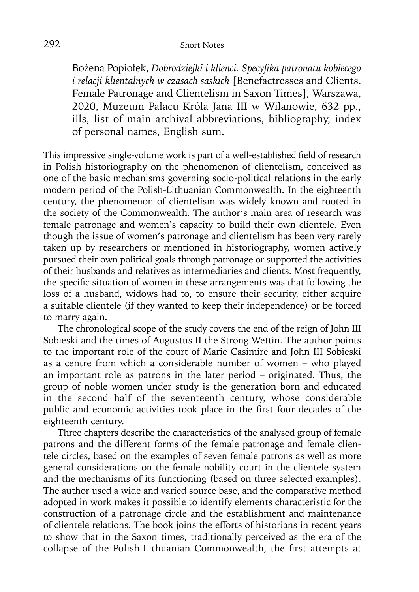Bożena Popiołek, *Dobrodziejki i klienci. Specyfi ka patronatu kobiecego i relacji klientalnych w czasach saskich* [Benefactresses and Clients. Female Patronage and Clientelism in Saxon Times], Warszawa, 2020, Muzeum Pałacu Króla Jana III w Wilanowie, 632 pp., ills, list of main archival abbreviations, bibliography, index of personal names, English sum.

This impressive single-volume work is part of a well-established field of research in Polish historiography on the phenomenon of clientelism, conceived as one of the basic mechanisms governing socio-political relations in the early modern period of the Polish-Lithuanian Commonwealth. In the eighteenth century, the phenomenon of clientelism was widely known and rooted in the society of the Commonwealth. The author's main area of research was female patronage and women's capacity to build their own clientele. Even though the issue of women's patronage and clientelism has been very rarely taken up by researchers or mentioned in historiography, women actively pursued their own political goals through patronage or supported the activities of their husbands and relatives as intermediaries and clients. Most frequently, the specific situation of women in these arrangements was that following the loss of a husband, widows had to, to ensure their security, either acquire a suitable clientele (if they wanted to keep their independence) or be forced to marry again.

The chronological scope of the study covers the end of the reign of John III Sobieski and the times of Augustus II the Strong Wettin. The author points to the important role of the court of Marie Casimire and John III Sobieski as a centre from which a considerable number of women – who played an important role as patrons in the later period – originated. Thus, the group of noble women under study is the generation born and educated in the second half of the seventeenth century, whose considerable public and economic activities took place in the first four decades of the eighteenth century.

Three chapters describe the characteristics of the analysed group of female patrons and the different forms of the female patronage and female clientele circles, based on the examples of seven female patrons as well as more general considerations on the female nobility court in the clientele system and the mechanisms of its functioning (based on three selected examples). The author used a wide and varied source base, and the comparative method adopted in work makes it possible to identify elements characteristic for the construction of a patronage circle and the establishment and maintenance of clientele relations. The book joins the efforts of historians in recent years to show that in the Saxon times, traditionally perceived as the era of the collapse of the Polish-Lithuanian Commonwealth, the first attempts at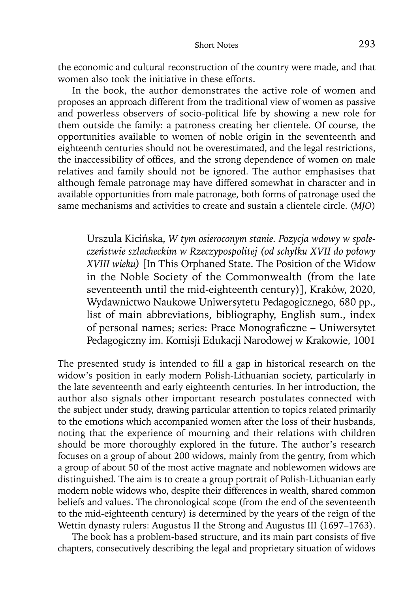the economic and cultural reconstruction of the country were made, and that women also took the initiative in these efforts.

In the book, the author demonstrates the active role of women and proposes an approach different from the traditional view of women as passive and powerless observers of socio-political life by showing a new role for them outside the family: a patroness creating her clientele. Of course, the opportunities available to women of noble origin in the seventeenth and eighteenth centuries should not be overestimated, and the legal restrictions, the inaccessibility of offices, and the strong dependence of women on male relatives and family should not be ignored. The author emphasises that although female patronage may have differed somewhat in character and in available opportunities from male patronage, both forms of patronage used the same mechanisms and activities to create and sustain a clientele circle. (*MJO*)

Urszula Kicińska, *W tym osieroconym stanie. Pozycja wdowy w społe czeństwie szlacheckim w Rzeczypospolitej (od schyłku XVII do połowy XVIII wieku)* [In This Orphaned State. The Position of the Widow in the Noble Society of the Commonwealth (from the late seventeenth until the mid-eighteenth century)], Kraków, 2020, Wydawnictwo Naukowe Uniwersytetu Pedagogicznego, 680 pp., list of main abbreviations, bibliography, English sum., index of personal names; series: Prace Monograficzne – Uniwersytet Pedagogiczny im. Komisji Edukacji Narodowej w Krakowie, 1001

The presented study is intended to fill a gap in historical research on the widow's position in early modern Polish-Lithuanian society, particularly in the late seventeenth and early eighteenth centuries. In her introduction, the author also signals other important research postulates connected with the subject under study, drawing particular attention to topics related primarily to the emotions which accompanied women after the loss of their husbands, noting that the experience of mourning and their relations with children should be more thoroughly explored in the future. The author's research focuses on a group of about 200 widows, mainly from the gentry, from which a group of about 50 of the most active magnate and noblewomen widows are distinguished. The aim is to create a group portrait of Polish-Lithuanian early modern noble widows who, despite their differences in wealth, shared common beliefs and values. The chronological scope (from the end of the seventeenth to the mid-eighteenth century) is determined by the years of the reign of the Wettin dynasty rulers: Augustus II the Strong and Augustus III (1697–1763).

The book has a problem-based structure, and its main part consists of five chapters, consecutively describing the legal and proprietary situation of widows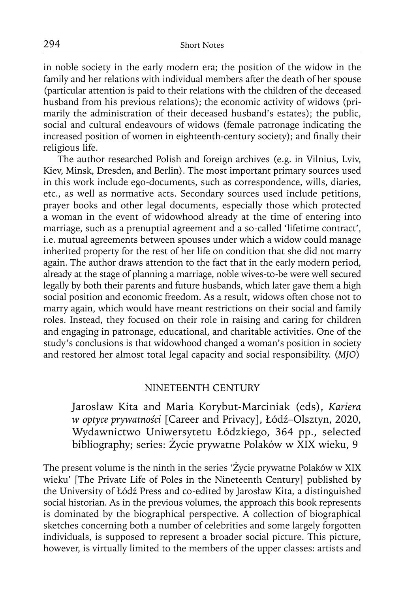in noble society in the early modern era; the position of the widow in the family and her relations with individual members after the death of her spouse (particular attention is paid to their relations with the children of the deceased husband from his previous relations); the economic activity of widows (primarily the administration of their deceased husband's estates); the public, social and cultural endeavours of widows (female patronage indicating the increased position of women in eighteenth-century society); and finally their religious life.

The author researched Polish and foreign archives (e.g. in Vilnius, Lviv, Kiev, Minsk, Dresden, and Berlin). The most important primary sources used in this work include ego-documents, such as correspondence, wills, diaries, etc., as well as normative acts. Secondary sources used include petitions, prayer books and other legal documents, especially those which protected a woman in the event of widowhood already at the time of entering into marriage, such as a prenuptial agreement and a so-called 'lifetime contract', i.e. mutual agreements between spouses under which a widow could manage inherited property for the rest of her life on condition that she did not marry again. The author draws attention to the fact that in the early modern period, already at the stage of planning a marriage, noble wives-to-be were well secured legally by both their parents and future husbands, which later gave them a high social position and economic freedom. As a result, widows often chose not to marry again, which would have meant restrictions on their social and family roles. Instead, they focused on their role in raising and caring for children and engaging in patronage, educational, and charitable activities. One of the study's conclusions is that widowhood changed a woman's position in society and restored her almost total legal capacity and social responsibility. (*MJO*)

#### NINETEENTH CENTURY

Jarosław Kita and Maria Korybut-Marciniak (eds), *Kariera w optyce prywatności* [Career and Privacy], Łódź–Olsztyn, 2020, Wydawnictwo Uniwersytetu Łódzkiego, 364 pp., selected bibliography; series: Życie prywatne Polaków w XIX wieku, 9

The present volume is the ninth in the series 'Życie prywatne Polaków w XIX wieku' [The Private Life of Poles in the Nineteenth Century] published by the University of Łódź Press and co-edited by Jarosław Kita, a distinguished social historian. As in the previous volumes, the approach this book represents is dominated by the biographical perspective. A collection of biographical sketches concerning both a number of celebrities and some largely forgotten individuals, is supposed to represent a broader social picture. This picture, however, is virtually limited to the members of the upper classes: artists and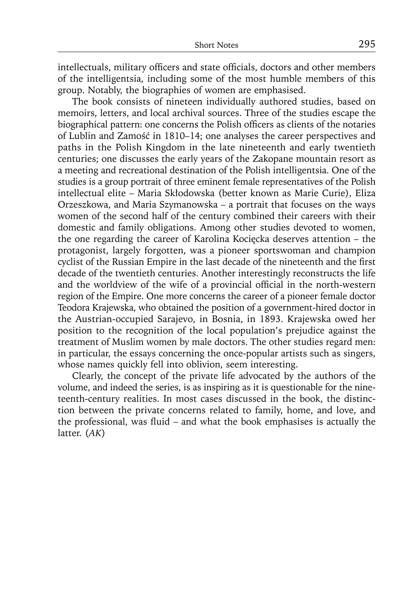intellectuals, military officers and state officials, doctors and other members of the intelligentsia, including some of the most humble members of this group. Notably, the biographies of women are emphasised.

The book consists of nineteen individually authored studies, based on memoirs, letters, and local archival sources. Three of the studies escape the biographical pattern: one concerns the Polish officers as clients of the notaries of Lublin and Zamość in 1810–14; one analyses the career perspectives and paths in the Polish Kingdom in the late nineteenth and early twentieth centuries; one discusses the early years of the Zakopane mountain resort as a meeting and recreational destination of the Polish intelligentsia. One of the studies is a group portrait of three eminent female representatives of the Polish intellectual elite – Maria Skłodowska (better known as Marie Curie), Eliza Orzeszkowa, and Maria Szymanowska – a portrait that focuses on the ways women of the second half of the century combined their careers with their domestic and family obligations. Among other studies devoted to women, the one regarding the career of Karolina Kocięcka deserves attention – the protagonist, largely forgotten, was a pioneer sportswoman and champion cyclist of the Russian Empire in the last decade of the nineteenth and the first decade of the twentieth centuries. Another interestingly reconstructs the life and the worldview of the wife of a provincial official in the north-western region of the Empire. One more concerns the career of a pioneer female doctor Teodora Krajewska, who obtained the position of a government-hired doctor in the Austrian-occupied Sarajevo, in Bosnia, in 1893. Krajewska owed her position to the recognition of the local population's prejudice against the treatment of Muslim women by male doctors. The other studies regard men: in particular, the essays concerning the once-popular artists such as singers, whose names quickly fell into oblivion, seem interesting.

Clearly, the concept of the private life advocated by the authors of the volume, and indeed the series, is as inspiring as it is questionable for the nineteenth-century realities. In most cases discussed in the book, the distinction between the private concerns related to family, home, and love, and the professional, was fluid – and what the book emphasises is actually the latter. (*AK*)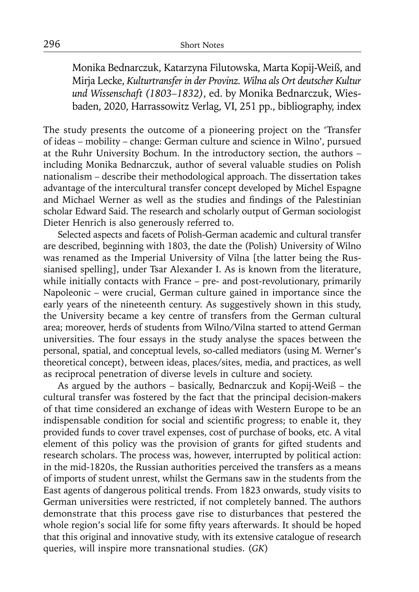Monika Bednarczuk, Katarzyna Filutowska, Marta Kopij-Weiß, and Mirja Lecke, *Kulturtransfer in der Provinz. Wilna als Ort deutscher Kultur und Wissenschaft (1803–1832)*, ed. by Monika Bednarczuk, Wiesbaden, 2020, Harrassowitz Verlag, VI, 251 pp., bibliography, index

The study presents the outcome of a pioneering project on the 'Transfer of ideas – mobility – change: German culture and science in Wilno', pursued at the Ruhr University Bochum. In the introductory section, the authors – including Monika Bednarczuk, author of several valuable studies on Polish nationalism – describe their methodological approach. The dissertation takes advantage of the intercultural transfer concept developed by Michel Espagne and Michael Werner as well as the studies and findings of the Palestinian scholar Edward Said. The research and scholarly output of German sociologist Dieter Henrich is also generously referred to.

Selected aspects and facets of Polish-German academic and cultural transfer are described, beginning with 1803, the date the (Polish) University of Wilno was renamed as the Imperial University of Vilna [the latter being the Russianised spelling], under Tsar Alexander I. As is known from the literature, while initially contacts with France – pre- and post-revolutionary, primarily Napoleonic – were crucial, German culture gained in importance since the early years of the nineteenth century. As suggestively shown in this study, the University became a key centre of transfers from the German cultural area; moreover, herds of students from Wilno/Vilna started to attend German universities. The four essays in the study analyse the spaces between the personal, spatial, and conceptual levels, so-called mediators (using M. Werner's theoretical concept), between ideas, places/sites, media, and practices, as well as reciprocal penetration of diverse levels in culture and society.

As argued by the authors – basically, Bednarczuk and Kopij-Weiß – the cultural transfer was fostered by the fact that the principal decision-makers of that time considered an exchange of ideas with Western Europe to be an indispensable condition for social and scientific progress; to enable it, they provided funds to cover travel expenses, cost of purchase of books, etc. A vital element of this policy was the provision of grants for gifted students and research scholars. The process was, however, interrupted by political action: in the mid-1820s, the Russian authorities perceived the transfers as a means of imports of student unrest, whilst the Germans saw in the students from the East agents of dangerous political trends. From 1823 onwards, study visits to German universities were restricted, if not completely banned. The authors demonstrate that this process gave rise to disturbances that pestered the whole region's social life for some fifty years afterwards. It should be hoped that this original and innovative study, with its extensive catalogue of research queries, will inspire more transnational studies. (*GK*)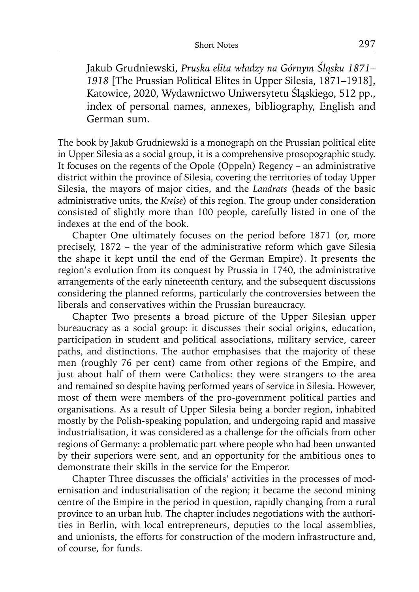Jakub Grudniewski, *Pruska elita władzy na Górnym Śląsku 1871*– *1918* [The Prussian Political Elites in Upper Silesia, 1871–1918], Katowice, 2020, Wydawnictwo Uniwersytetu Śląskiego, 512 pp., index of personal names, annexes, bibliography, English and German sum.

The book by Jakub Grudniewski is a monograph on the Prussian political elite in Upper Silesia as a social group, it is a comprehensive prosopographic study. It focuses on the regents of the Opole (Oppeln) Regency – an administrative district within the province of Silesia, covering the territories of today Upper Silesia, the mayors of major cities, and the *Landrats* (heads of the basic administrative units, the *Kreise*) of this region. The group under consideration consisted of slightly more than 100 people, carefully listed in one of the indexes at the end of the book.

Chapter One ultimately focuses on the period before 1871 (or, more precisely, 1872 – the year of the administrative reform which gave Silesia the shape it kept until the end of the German Empire). It presents the region's evolution from its conquest by Prussia in 1740, the administrative arrangements of the early nineteenth century, and the subsequent discussions considering the planned reforms, particularly the controversies between the liberals and conservatives within the Prussian bureaucracy.

Chapter Two presents a broad picture of the Upper Silesian upper bureaucracy as a social group: it discusses their social origins, education, participation in student and political associations, military service, career paths, and distinctions. The author emphasises that the majority of these men (roughly 76 per cent) came from other regions of the Empire, and just about half of them were Catholics: they were strangers to the area and remained so despite having performed years of service in Silesia. However, most of them were members of the pro-government political parties and organisations. As a result of Upper Silesia being a border region, inhabited mostly by the Polish-speaking population, and undergoing rapid and massive industrialisation, it was considered as a challenge for the officials from other regions of Germany: a problematic part where people who had been unwanted by their superiors were sent, and an opportunity for the ambitious ones to demonstrate their skills in the service for the Emperor.

Chapter Three discusses the officials' activities in the processes of modernisation and industrialisation of the region; it became the second mining centre of the Empire in the period in question, rapidly changing from a rural province to an urban hub. The chapter includes negotiations with the authorities in Berlin, with local entrepreneurs, deputies to the local assemblies, and unionists, the efforts for construction of the modern infrastructure and, of course, for funds.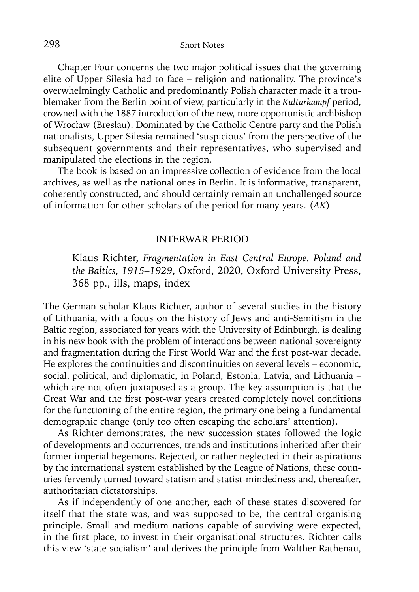Chapter Four concerns the two major political issues that the governing elite of Upper Silesia had to face – religion and nationality. The province's overwhelmingly Catholic and predominantly Polish character made it a troublemaker from the Berlin point of view, particularly in the *Kulturkampf* period, crowned with the 1887 introduction of the new, more opportunistic archbishop of Wrocław (Breslau). Dominated by the Catholic Centre party and the Polish nationalists, Upper Silesia remained 'suspicious' from the perspective of the subsequent governments and their representatives, who supervised and manipulated the elections in the region.

The book is based on an impressive collection of evidence from the local archives, as well as the national ones in Berlin. It is informative, transparent, coherently constructed, and should certainly remain an unchallenged source of information for other scholars of the period for many years. (*AK*)

#### INTERWAR PERIOD

Klaus Richter, *Fragmentation in East Central Europe. Poland and the Baltics, 1915–1929*, Oxford, 2020, Oxford University Press, 368 pp., ills, maps, index

The German scholar Klaus Richter, author of several studies in the history of Lithuania, with a focus on the history of Jews and anti-Semitism in the Baltic region, associated for years with the University of Edinburgh, is dealing in his new book with the problem of interactions between national sovereignty and fragmentation during the First World War and the first post-war decade. He explores the continuities and discontinuities on several levels – economic, social, political, and diplomatic, in Poland, Estonia, Latvia, and Lithuania – which are not often juxtaposed as a group. The key assumption is that the Great War and the first post-war years created completely novel conditions for the functioning of the entire region, the primary one being a fundamental demographic change (only too often escaping the scholars' attention).

As Richter demonstrates, the new succession states followed the logic of developments and occurrences, trends and institutions inherited after their former imperial hegemons. Rejected, or rather neglected in their aspirations by the international system established by the League of Nations, these countries fervently turned toward statism and statist-mindedness and, thereafter, authoritarian dictatorships.

As if independently of one another, each of these states discovered for itself that the state was, and was supposed to be, the central organising principle. Small and medium nations capable of surviving were expected, in the first place, to invest in their organisational structures. Richter calls this view 'state socialism' and derives the principle from Walther Rathenau,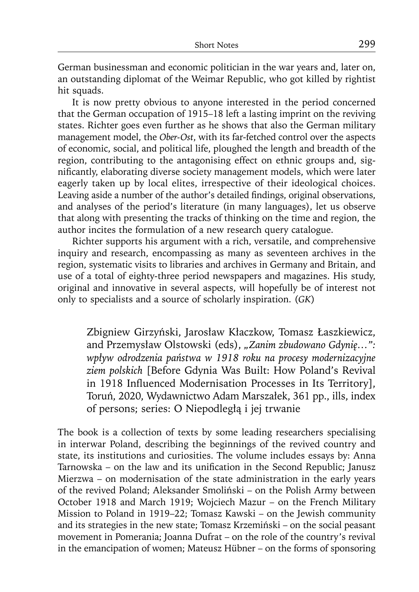German businessman and economic politician in the war years and, later on, an outstanding diplomat of the Weimar Republic, who got killed by rightist hit squads.

It is now pretty obvious to anyone interested in the period concerned that the German occupation of 1915–18 left a lasting imprint on the reviving states. Richter goes even further as he shows that also the German military management model, the *Ober-Ost*, with its far-fetched control over the aspects of economic, social, and political life, ploughed the length and breadth of the region, contributing to the antagonising effect on ethnic groups and, significantly, elaborating diverse society management models, which were later eagerly taken up by local elites, irrespective of their ideological choices. Leaving aside a number of the author's detailed findings, original observations, and analyses of the period's literature (in many languages), let us observe that along with presenting the tracks of thinking on the time and region, the author incites the formulation of a new research query catalogue.

Richter supports his argument with a rich, versatile, and comprehensive inquiry and research, encompassing as many as seventeen archives in the region, systematic visits to libraries and archives in Germany and Britain, and use of a total of eighty-three period newspapers and magazines. His study, original and innovative in several aspects, will hopefully be of interest not only to specialists and a source of scholarly inspiration. (*GK*)

Zbigniew Girzyński, Jarosław Kłaczkow, Tomasz Łaszkiewicz, and Przemysław Olstowski (eds), *"Zanim zbudowano Gdynię…": wpływ odrodzenia państwa w 1918 roku na procesy modernizacyjne ziem polskich* [Before Gdynia Was Built: How Poland's Revival in 1918 Influenced Modernisation Processes in Its Territory], Toruń, 2020, Wydawnictwo Adam Marszałek, 361 pp., ills, index of persons; series: O Niepodległą i jej trwanie

The book is a collection of texts by some leading researchers specialising in interwar Poland, describing the beginnings of the revived country and state, its institutions and curiosities. The volume includes essays by: Anna Tarnowska – on the law and its unification in the Second Republic; Janusz Mierzwa – on modernisation of the state administration in the early years of the revived Poland; Aleksander Smoliński – on the Polish Army between October 1918 and March 1919; Wojciech Mazur – on the French Military Mission to Poland in 1919–22; Tomasz Kawski – on the Jewish community and its strategies in the new state; Tomasz Krzemiński – on the social peasant movement in Pomerania; Joanna Dufrat – on the role of the country's revival in the emancipation of women; Mateusz Hübner – on the forms of sponsoring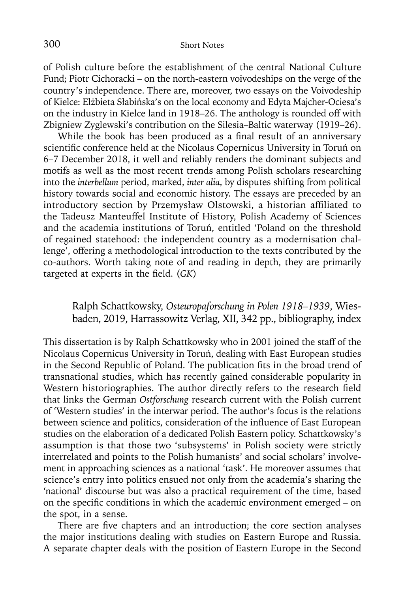of Polish culture before the establishment of the central National Culture Fund; Piotr Cichoracki – on the north-eastern voivodeships on the verge of the country's independence. There are, moreover, two essays on the Voivodeship of Kielce: Elżbieta Słabińska's on the local economy and Edyta Majcher-Ociesa's on the industry in Kielce land in 1918–26. The anthology is rounded off with Zbigniew Zyglewski's contribution on the Silesia–Baltic waterway (1919–26).

While the book has been produced as a final result of an anniversary scientific conference held at the Nicolaus Copernicus University in Toruń on 6–7 December 2018, it well and reliably renders the dominant subjects and motifs as well as the most recent trends among Polish scholars researching into the *interbellum* period, marked, *inter alia*, by disputes shifting from political history towards social and economic history. The essays are preceded by an introductory section by Przemysław Olstowski, a historian affiliated to the Tadeusz Manteuffel Institute of History, Polish Academy of Sciences and the academia institutions of Toruń, entitled 'Poland on the threshold of regained statehood: the independent country as a modernisation challenge', offering a methodological introduction to the texts contributed by the co-authors. Worth taking note of and reading in depth, they are primarily targeted at experts in the field. (*GK*)

# Ralph Schattkowsky, *Osteuropaforschung in Polen 1918–1939*, Wiesbaden, 2019, Harrassowitz Verlag, XII, 342 pp., bibliography, index

This dissertation is by Ralph Schattkowsky who in 2001 joined the staff of the Nicolaus Copernicus University in Toruń, dealing with East European studies in the Second Republic of Poland. The publication fits in the broad trend of transnational studies, which has recently gained considerable popularity in Western historiographies. The author directly refers to the research field that links the German *Ostforschung* research current with the Polish current of 'Western studies' in the interwar period. The author's focus is the relations between science and politics, consideration of the influence of East European studies on the elaboration of a dedicated Polish Eastern policy. Schattkowsky's assumption is that those two 'subsystems' in Polish society were strictly interrelated and points to the Polish humanists' and social scholars' involvement in approaching sciences as a national 'task'. He moreover assumes that science's entry into politics ensued not only from the academia's sharing the 'national' discourse but was also a practical requirement of the time, based on the specific conditions in which the academic environment emerged – on the spot, in a sense.

There are five chapters and an introduction; the core section analyses the major institutions dealing with studies on Eastern Europe and Russia. A separate chapter deals with the position of Eastern Europe in the Second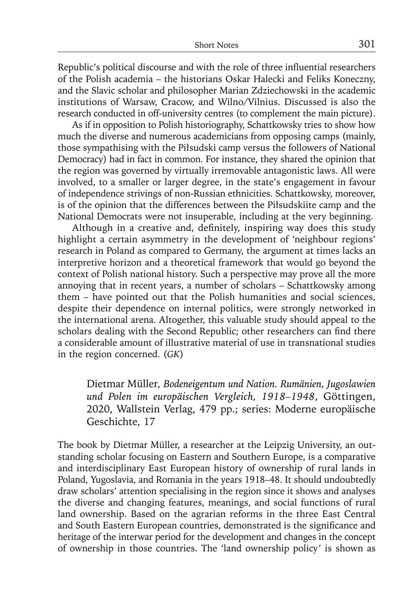Republic's political discourse and with the role of three influential researchers of the Polish academia – the historians Oskar Halecki and Feliks Koneczny, and the Slavic scholar and philosopher Marian Zdziechowski in the academic institutions of Warsaw, Cracow, and Wilno/Vilnius. Discussed is also the research conducted in off-university centres (to complement the main picture).

As if in opposition to Polish historiography, Schattkowsky tries to show how much the diverse and numerous academicians from opposing camps (mainly, those sympathising with the Piłsudski camp versus the followers of National Democracy) had in fact in common. For instance, they shared the opinion that the region was governed by virtually irremovable antagonistic laws. All were involved, to a smaller or larger degree, in the state's engagement in favour of independence strivings of non-Russian ethnicities. Schattkowsky, moreover, is of the opinion that the differences between the Piłsudskiite camp and the National Democrats were not insuperable, including at the very beginning.

Although in a creative and, definitely, inspiring way does this study highlight a certain asymmetry in the development of 'neighbour regions' research in Poland as compared to Germany, the argument at times lacks an interpretive horizon and a theoretical framework that would go beyond the context of Polish national history. Such a perspective may prove all the more annoying that in recent years, a number of scholars – Schattkowsky among them – have pointed out that the Polish humanities and social sciences, despite their dependence on internal politics, were strongly networked in the international arena. Altogether, this valuable study should appeal to the scholars dealing with the Second Republic; other researchers can find there a considerable amount of illustrative material of use in transnational studies in the region concerned. (*GK*)

Dietmar Müller*, Bodeneigentum und Nation. Rumänien, Jugoslawien und Polen im europäischen Vergleich, 1918–1948*, Göttingen, 2020, Wallstein Verlag, 479 pp.; series: Moderne europäische Geschichte, 17

The book by Dietmar Müller, a researcher at the Leipzig University, an outstanding scholar focusing on Eastern and Southern Europe, is a comparative and interdisciplinary East European history of ownership of rural lands in Poland, Yugoslavia, and Romania in the years 1918–48. It should undoubtedly draw scholars' attention specialising in the region since it shows and analyses the diverse and changing features, meanings, and social functions of rural land ownership. Based on the agrarian reforms in the three East Central and South Eastern European countries, demonstrated is the significance and heritage of the interwar period for the development and changes in the concept of ownership in those countries. The 'land ownership policy' is shown as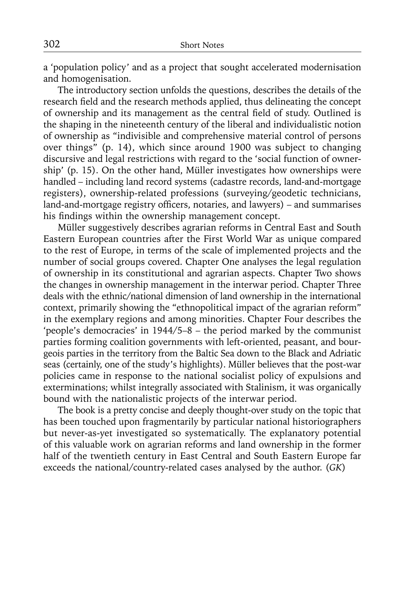a 'population policy' and as a project that sought accelerated modernisation and homogenisation.

The introductory section unfolds the questions, describes the details of the research field and the research methods applied, thus delineating the concept of ownership and its management as the central field of study. Outlined is the shaping in the nineteenth century of the liberal and individualistic notion of ownership as "indivisible and comprehensive material control of persons over things" (p. 14), which since around 1900 was subject to changing discursive and legal restrictions with regard to the 'social function of ownership' (p. 15). On the other hand, Müller investigates how ownerships were handled – including land record systems (cadastre records, land-and-mortgage registers), ownership-related professions (surveying/geodetic technicians, land-and-mortgage registry officers, notaries, and lawyers) – and summarises his findings within the ownership management concept.

Müller suggestively describes agrarian reforms in Central East and South Eastern European countries after the First World War as unique compared to the rest of Europe, in terms of the scale of implemented projects and the number of social groups covered. Chapter One analyses the legal regulation of ownership in its constitutional and agrarian aspects. Chapter Two shows the changes in ownership management in the interwar period. Chapter Three deals with the ethnic/national dimension of land ownership in the international context, primarily showing the "ethnopolitical impact of the agrarian reform" in the exemplary regions and among minorities. Chapter Four describes the 'people's democracies' in 1944/5–8 – the period marked by the communist parties forming coalition governments with left-oriented, peasant, and bourgeois parties in the territory from the Baltic Sea down to the Black and Adriatic seas (certainly, one of the study's highlights). Müller believes that the post-war policies came in response to the national socialist policy of expulsions and exterminations; whilst integrally associated with Stalinism, it was organically bound with the nationalistic projects of the interwar period.

The book is a pretty concise and deeply thought-over study on the topic that has been touched upon fragmentarily by particular national historiographers but never-as-yet investigated so systematically. The explanatory potential of this valuable work on agrarian reforms and land ownership in the former half of the twentieth century in East Central and South Eastern Europe far exceeds the national/country-related cases analysed by the author. (*GK*)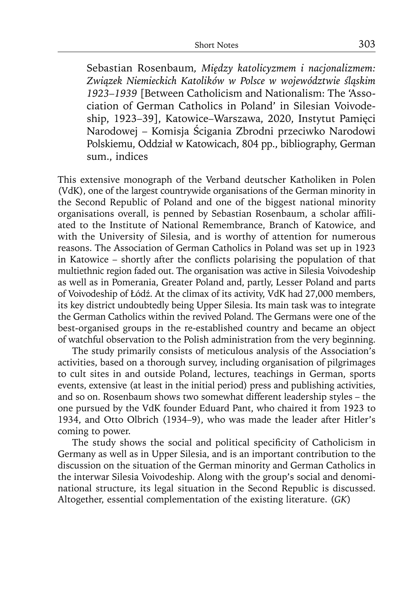Sebastian Rosenbaum*, Między katolicyzmem i nacjonalizmem: Związek Niemieckich Katolików w Polsce w województwie śląskim 1923–1939* [Between Catholicism and Nationalism: The 'Association of German Catholics in Poland' in Silesian Voivodeship, 1923–39], Katowice–Warszawa, 2020, Instytut Pamięci Narodowej – Komisja Ścigania Zbrodni przeciwko Narodowi Polskiemu, Oddział w Katowicach, 804 pp., bibliography, German sum., indices

This extensive monograph of the Verband deutscher Katholiken in Polen (VdK), one of the largest countrywide organisations of the German minority in the Second Republic of Poland and one of the biggest national minority organisations overall, is penned by Sebastian Rosenbaum, a scholar affiliated to the Institute of National Remembrance, Branch of Katowice, and with the University of Silesia, and is worthy of attention for numerous reasons. The Association of German Catholics in Poland was set up in 1923 in Katowice – shortly after the conflicts polarising the population of that multiethnic region faded out. The organisation was active in Silesia Voivodeship as well as in Pomerania, Greater Poland and, partly, Lesser Poland and parts of Voivodeship of Łódź. At the climax of its activity, VdK had 27,000 members, its key district undoubtedly being Upper Silesia. Its main task was to integrate the German Catholics within the revived Poland. The Germans were one of the best-organised groups in the re-established country and became an object of watchful observation to the Polish administration from the very beginning.

The study primarily consists of meticulous analysis of the Association's activities, based on a thorough survey, including organisation of pilgrimages to cult sites in and outside Poland, lectures, teachings in German, sports events, extensive (at least in the initial period) press and publishing activities, and so on. Rosenbaum shows two somewhat different leadership styles – the one pursued by the VdK founder Eduard Pant, who chaired it from 1923 to 1934, and Otto Olbrich (1934–9), who was made the leader after Hitler's coming to power.

The study shows the social and political specificity of Catholicism in Germany as well as in Upper Silesia, and is an important contribution to the discussion on the situation of the German minority and German Catholics in the interwar Silesia Voivodeship. Along with the group's social and denominational structure, its legal situation in the Second Republic is discussed. Altogether, essential complementation of the existing literature. (*GK*)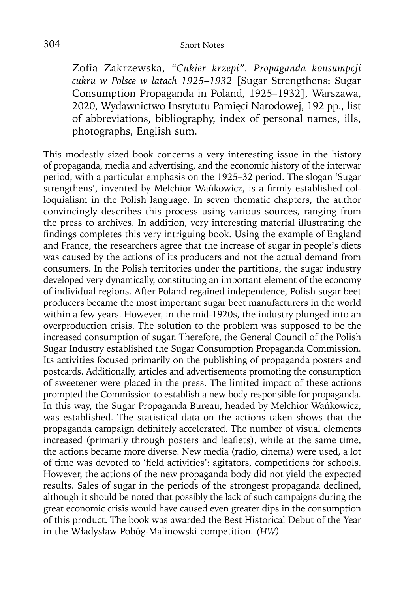Zofia Zakrzewska, *"Cukier krzepi". Propaganda konsumpcji cukru w Polsce w latach 1925*–*1932* [Sugar Strengthens: Sugar Consumption Propaganda in Poland, 1925–1932], Warszawa, 2020, Wydawnictwo Instytutu Pamięci Narodowej, 192 pp., list of abbreviations, bibliography, index of personal names, ills, photographs, English sum.

This modestly sized book concerns a very interesting issue in the history of propaganda, media and advertising, and the economic history of the interwar period, with a particular emphasis on the 1925–32 period. The slogan 'Sugar strengthens', invented by Melchior Wańkowicz, is a firmly established colloquialism in the Polish language. In seven thematic chapters, the author convincingly describes this process using various sources, ranging from the press to archives. In addition, very interesting material illustrating the findings completes this very intriguing book. Using the example of England and France, the researchers agree that the increase of sugar in people's diets was caused by the actions of its producers and not the actual demand from consumers. In the Polish territories under the partitions, the sugar industry developed very dynamically, constituting an important element of the economy of individual regions. After Poland regained independence, Polish sugar beet producers became the most important sugar beet manufacturers in the world within a few years. However, in the mid-1920s, the industry plunged into an overproduction crisis. The solution to the problem was supposed to be the increased consumption of sugar. Therefore, the General Council of the Polish Sugar Industry established the Sugar Consumption Propaganda Commission. Its activities focused primarily on the publishing of propaganda posters and postcards. Additionally, articles and advertisements promoting the consumption of sweetener were placed in the press. The limited impact of these actions prompted the Commission to establish a new body responsible for propaganda. In this way, the Sugar Propaganda Bureau, headed by Melchior Wańkowicz, was established. The statistical data on the actions taken shows that the propaganda campaign definitely accelerated. The number of visual elements increased (primarily through posters and leaflets), while at the same time, the actions became more diverse. New media (radio, cinema) were used, a lot of time was devoted to 'field activities': agitators, competitions for schools. However, the actions of the new propaganda body did not yield the expected results. Sales of sugar in the periods of the strongest propaganda declined, although it should be noted that possibly the lack of such campaigns during the great economic crisis would have caused even greater dips in the consumption of this product. The book was awarded the Best Historical Debut of the Year in the Władysław Pobóg-Malinowski competition. *(HW)*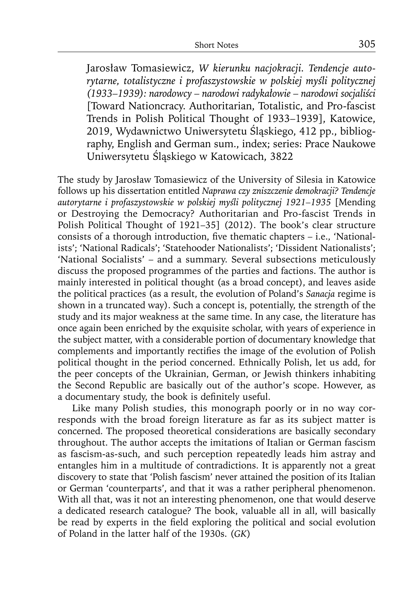Jarosław Tomasiewicz, *W kierunku nacjokracji. Tendencje autorytarne, totalistyczne i profaszystowskie w polskiej myśli politycznej (1933–1939): narodowcy – narodowi radykałowie – narodowi socjaliści* [Toward Nationcracy. Authoritarian, Totalistic, and Pro-fascist Trends in Polish Political Thought of 1933–1939], Katowice, 2019, Wydawnictwo Uniwersytetu Śląskiego, 412 pp., bibliography, English and German sum., index; series: Prace Naukowe Uniwersytetu Śląskiego w Katowicach, 3822

The study by Jarosław Tomasiewicz of the University of Silesia in Katowice follows up his dissertation entitled *Naprawa czy zniszczenie demokracji? Tendencje autorytarne i profaszystowskie w polskiej myśli politycznej 1921–1935* [Mending or Destroying the Democracy? Authoritarian and Pro-fascist Trends in Polish Political Thought of 1921–35] (2012). The book's clear structure consists of a thorough introduction, five thematic chapters  $-$  i.e., 'Nationalists'; 'National Radicals'; 'Statehooder Nationalists'; 'Dissident Nationalists'; 'National Socialists' – and a summary. Several subsections meticulously discuss the proposed programmes of the parties and factions. The author is mainly interested in political thought (as a broad concept), and leaves aside the political practices (as a result, the evolution of Poland's *Sanacja* regime is shown in a truncated way). Such a concept is, potentially, the strength of the study and its major weakness at the same time. In any case, the literature has once again been enriched by the exquisite scholar, with years of experience in the subject matter, with a considerable portion of documentary knowledge that complements and importantly rectifies the image of the evolution of Polish political thought in the period concerned. Ethnically Polish, let us add, for the peer concepts of the Ukrainian, German, or Jewish thinkers inhabiting the Second Republic are basically out of the author's scope. However, as a documentary study, the book is definitely useful.

Like many Polish studies, this monograph poorly or in no way corresponds with the broad foreign literature as far as its subject matter is concerned. The proposed theoretical considerations are basically secondary throughout. The author accepts the imitations of Italian or German fascism as fascism-as-such, and such perception repeatedly leads him astray and entangles him in a multitude of contradictions. It is apparently not a great discovery to state that 'Polish fascism' never attained the position of its Italian or German 'counterparts', and that it was a rather peripheral phenomenon. With all that, was it not an interesting phenomenon, one that would deserve a dedicated research catalogue? The book, valuable all in all, will basically be read by experts in the field exploring the political and social evolution of Poland in the latter half of the 1930s. (*GK*)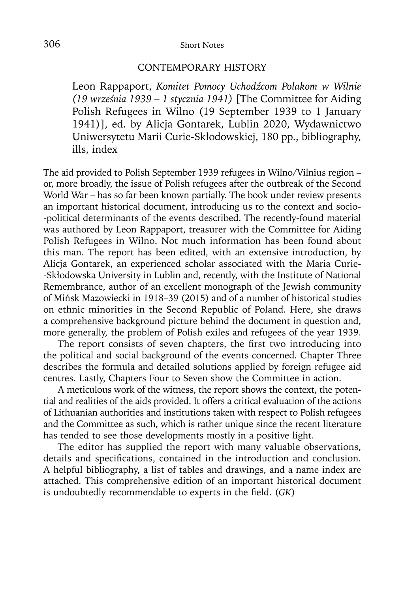## CONTEMPORARY HISTORY

Leon Rappaport, *Komitet Pomocy Uchodźcom Polakom w Wilnie (19 września 1939 – 1 stycznia 1941)* [The Committee for Aiding Polish Refugees in Wilno (19 September 1939 to 1 January 1941)], ed. by Alicja Gontarek, Lublin 2020, Wydawnictwo Uniwersytetu Marii Curie-Skłodowskiej, 180 pp., bibliography, ills, index

The aid provided to Polish September 1939 refugees in Wilno/Vilnius region – or, more broadly, the issue of Polish refugees after the outbreak of the Second World War – has so far been known partially. The book under review presents an important historical document, introducing us to the context and socio- -political determinants of the events described. The recently-found material was authored by Leon Rappaport, treasurer with the Committee for Aiding Polish Refugees in Wilno. Not much information has been found about this man. The report has been edited, with an extensive introduction, by Alicja Gontarek, an experienced scholar associated with the Maria Curie- -Skłodowska University in Lublin and, recently, with the Institute of National Remembrance, author of an excellent monograph of the Jewish community of Mińsk Mazowiecki in 1918–39 (2015) and of a number of historical studies on ethnic minorities in the Second Republic of Poland. Here, she draws a comprehensive background picture behind the document in question and, more generally, the problem of Polish exiles and refugees of the year 1939.

The report consists of seven chapters, the first two introducing into the political and social background of the events concerned. Chapter Three describes the formula and detailed solutions applied by foreign refugee aid centres. Lastly, Chapters Four to Seven show the Committee in action.

A meticulous work of the witness, the report shows the context, the potential and realities of the aids provided. It offers a critical evaluation of the actions of Lithuanian authorities and institutions taken with respect to Polish refugees and the Committee as such, which is rather unique since the recent literature has tended to see those developments mostly in a positive light.

The editor has supplied the report with many valuable observations, details and specifications, contained in the introduction and conclusion. A helpful bibliography, a list of tables and drawings, and a name index are attached. This comprehensive edition of an important historical document is undoubtedly recommendable to experts in the field. (*GK*)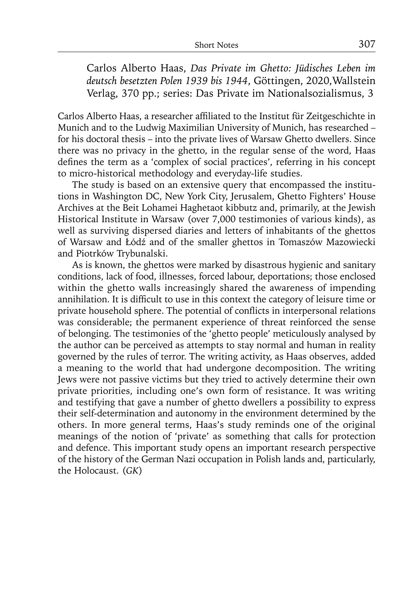Carlos Alberto Haas, *Das Private im Ghetto: Jüdisches Leben im deutsch besetzten Polen 1939 bis 1944*, Göttingen, 2020,Wallstein Verlag, 370 pp.; series: Das Private im Nationalsozialismus, 3

Carlos Alberto Haas, a researcher affiliated to the Institut für Zeitgeschichte in Munich and to the Ludwig Maximilian University of Munich, has researched – for his doctoral thesis – into the private lives of Warsaw Ghetto dwellers. Since there was no privacy in the ghetto, in the regular sense of the word, Haas defines the term as a 'complex of social practices', referring in his concept to micro-historical methodology and everyday-life studies.

The study is based on an extensive query that encompassed the institutions in Washington DC, New York City, Jerusalem, Ghetto Fighters' House Archives at the Beit Lohamei Haghetaot kibbutz and, primarily, at the Jewish Historical Institute in Warsaw (over 7,000 testimonies of various kinds), as well as surviving dispersed diaries and letters of inhabitants of the ghettos of Warsaw and Łódź and of the smaller ghettos in Tomaszów Mazowiecki and Piotrków Trybunalski.

As is known, the ghettos were marked by disastrous hygienic and sanitary conditions, lack of food, illnesses, forced labour, deportations; those enclosed within the ghetto walls increasingly shared the awareness of impending annihilation. It is difficult to use in this context the category of leisure time or private household sphere. The potential of conflicts in interpersonal relations was considerable; the permanent experience of threat reinforced the sense of belonging. The testimonies of the 'ghetto people' meticulously analysed by the author can be perceived as attempts to stay normal and human in reality governed by the rules of terror. The writing activity, as Haas observes, added a meaning to the world that had undergone decomposition. The writing Jews were not passive victims but they tried to actively determine their own private priorities, including one's own form of resistance. It was writing and testifying that gave a number of ghetto dwellers a possibility to express their self-determination and autonomy in the environment determined by the others. In more general terms, Haas's study reminds one of the original meanings of the notion of 'private' as something that calls for protection and defence. This important study opens an important research perspective of the history of the German Nazi occupation in Polish lands and, particularly, the Holocaust. (*GK*)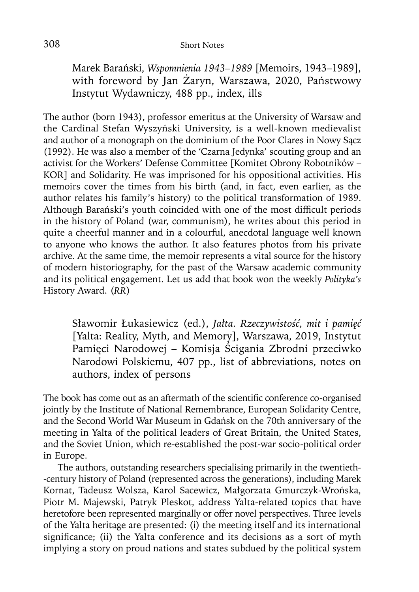Marek Barański, *Wspomnienia 1943–1989* [Memoirs, 1943–1989], with foreword by Jan Żaryn, Warszawa, 2020, Państwowy Instytut Wydawniczy, 488 pp., index, ills

The author (born 1943), professor emeritus at the University of Warsaw and the Cardinal Stefan Wyszyński University, is a well-known medievalist and author of a monograph on the dominium of the Poor Clares in Nowy Sącz (1992). He was also a member of the 'Czarna Jedynka' scouting group and an activist for the Workers' Defense Committee [Komitet Obrony Robotników – KOR] and Solidarity. He was imprisoned for his oppositional activities. His memoirs cover the times from his birth (and, in fact, even earlier, as the author relates his family's history) to the political transformation of 1989. Although Barański's youth coincided with one of the most difficult periods in the history of Poland (war, communism), he writes about this period in quite a cheerful manner and in a colourful, anecdotal language well known to anyone who knows the author. It also features photos from his private archive. At the same time, the memoir represents a vital source for the history of modern historiography, for the past of the Warsaw academic community and its political engagement. Let us add that book won the weekly *Polityka's* History Award. (*RR*)

Sławomir Łukasiewicz (ed.), *Jałta. Rzeczywistość, mit i pamięć* [Yalta: Reality, Myth, and Memory], Warszawa, 2019, Instytut Pamięci Narodowej – Komisja Ścigania Zbrodni przeciwko Narodowi Polskiemu, 407 pp., list of abbreviations, notes on authors, index of persons

The book has come out as an aftermath of the scientific conference co-organised jointly by the Institute of National Remembrance, European Solidarity Centre, and the Second World War Museum in Gdańsk on the 70th anniversary of the meeting in Yalta of the political leaders of Great Britain, the United States, and the Soviet Union, which re-established the post-war socio-political order in Europe.

The authors, outstanding researchers specialising primarily in the twentieth- -century history of Poland (represented across the generations), including Marek Kornat, Tadeusz Wolsza, Karol Sacewicz, Małgorzata Gmurczyk-Wrońska, Piotr M. Majewski, Patryk Pleskot, address Yalta-related topics that have heretofore been represented marginally or offer novel perspectives. Three levels of the Yalta heritage are presented: (i) the meeting itself and its international significance; (ii) the Yalta conference and its decisions as a sort of myth implying a story on proud nations and states subdued by the political system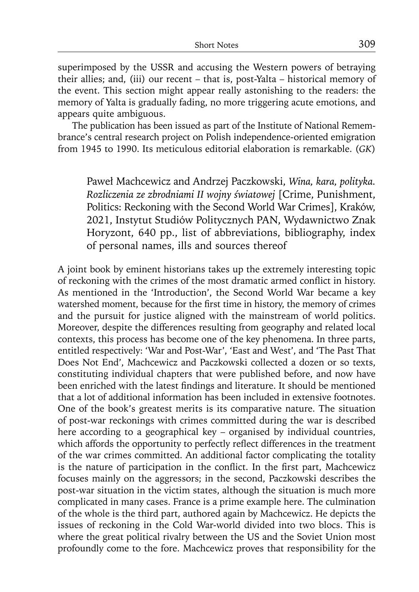superimposed by the USSR and accusing the Western powers of betraying their allies; and, (iii) our recent – that is, post-Yalta – historical memory of the event. This section might appear really astonishing to the readers: the memory of Yalta is gradually fading, no more triggering acute emotions, and appears quite ambiguous.

The publication has been issued as part of the Institute of National Remembrance's central research project on Polish independence-oriented emigration from 1945 to 1990. Its meticulous editorial elaboration is remarkable. (*GK*)

Paweł Machcewicz and Andrzej Paczkowski, *Wina, kara, polityka. Rozliczenia ze zbrodniami II wojny światowej* [Crime, Punishment, Politics: Reckoning with the Second World War Crimes], Kraków, 2021, Instytut Studiów Politycznych PAN, Wydawnictwo Znak Horyzont, 640 pp., list of abbreviations, bibliography, index of personal names, ills and sources thereof

A joint book by eminent historians takes up the extremely interesting topic of reckoning with the crimes of the most dramatic armed conflict in history. As mentioned in the 'Introduction', the Second World War became a key watershed moment, because for the first time in history, the memory of crimes and the pursuit for justice aligned with the mainstream of world politics. Moreover, despite the differences resulting from geography and related local contexts, this process has become one of the key phenomena. In three parts, entitled respectively: 'War and Post-War', 'East and West', and 'The Past That Does Not End', Machcewicz and Paczkowski collected a dozen or so texts, constituting individual chapters that were published before, and now have been enriched with the latest findings and literature. It should be mentioned that a lot of additional information has been included in extensive footnotes. One of the book's greatest merits is its comparative nature. The situation of post-war reckonings with crimes committed during the war is described here according to a geographical key – organised by individual countries, which affords the opportunity to perfectly reflect differences in the treatment of the war crimes committed. An additional factor complicating the totality is the nature of participation in the conflict. In the first part, Machcewicz focuses mainly on the aggressors; in the second, Paczkowski describes the post-war situation in the victim states, although the situation is much more complicated in many cases. France is a prime example here. The culmination of the whole is the third part, authored again by Machcewicz. He depicts the issues of reckoning in the Cold War-world divided into two blocs. This is where the great political rivalry between the US and the Soviet Union most profoundly come to the fore. Machcewicz proves that responsibility for the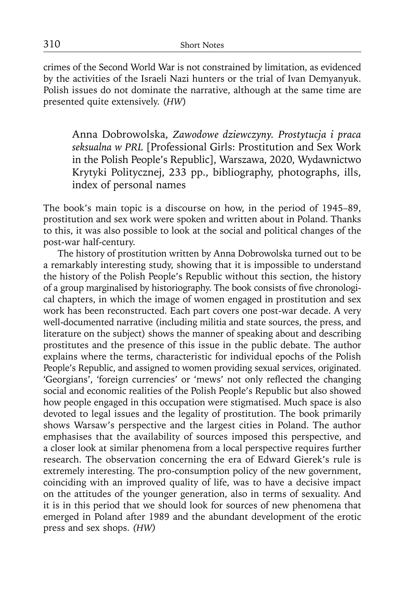crimes of the Second World War is not constrained by limitation, as evidenced by the activities of the Israeli Nazi hunters or the trial of Ivan Demyanyuk. Polish issues do not dominate the narrative, although at the same time are presented quite extensively. (*HW*)

Anna Dobrowolska, *Zawodowe dziewczyny. Prostytucja i praca seksualna w PRL* [Professional Girls: Prostitution and Sex Work in the Polish People's Republic], Warszawa, 2020, Wydawnictwo Krytyki Politycznej, 233 pp., bibliography, photographs, ills, index of personal names

The book's main topic is a discourse on how, in the period of 1945–89, prostitution and sex work were spoken and written about in Poland. Thanks to this, it was also possible to look at the social and political changes of the post-war half-century.

The history of prostitution written by Anna Dobrowolska turned out to be a remarkably interesting study, showing that it is impossible to understand the history of the Polish People's Republic without this section, the history of a group marginalised by historiography. The book consists of five chronological chapters, in which the image of women engaged in prostitution and sex work has been reconstructed. Each part covers one post-war decade. A very well-documented narrative (including militia and state sources, the press, and literature on the subject) shows the manner of speaking about and describing prostitutes and the presence of this issue in the public debate. The author explains where the terms, characteristic for individual epochs of the Polish People's Republic, and assigned to women providing sexual services, originated. 'Georgians', 'foreign currencies' or 'mews' not only reflected the changing social and economic realities of the Polish People's Republic but also showed how people engaged in this occupation were stigmatised. Much space is also devoted to legal issues and the legality of prostitution. The book primarily shows Warsaw's perspective and the largest cities in Poland. The author emphasises that the availability of sources imposed this perspective, and a closer look at similar phenomena from a local perspective requires further research. The observation concerning the era of Edward Gierek's rule is extremely interesting. The pro-consumption policy of the new government, coinciding with an improved quality of life, was to have a decisive impact on the attitudes of the younger generation, also in terms of sexuality. And it is in this period that we should look for sources of new phenomena that emerged in Poland after 1989 and the abundant development of the erotic press and sex shops. *(HW)*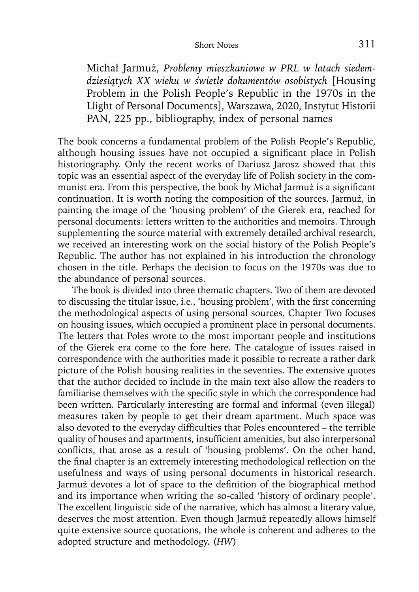Michał Jarmuż, *Problemy mieszkaniowe w PRL w latach siedemdziesiątych XX wieku w świetle dokumentów osobistych* [Housing Problem in the Polish People's Republic in the 1970s in the Llight of Personal Documents], Warszawa, 2020, Instytut Historii PAN, 225 pp., bibliography, index of personal names

The book concerns a fundamental problem of the Polish People's Republic, although housing issues have not occupied a significant place in Polish historiography. Only the recent works of Dariusz Jarosz showed that this topic was an essential aspect of the everyday life of Polish society in the communist era. From this perspective, the book by Michał Jarmuż is a significant continuation. It is worth noting the composition of the sources. Jarmuż, in painting the image of the 'housing problem' of the Gierek era, reached for personal documents: letters written to the authorities and memoirs. Through supplementing the source material with extremely detailed archival research, we received an interesting work on the social history of the Polish People's Republic. The author has not explained in his introduction the chronology chosen in the title. Perhaps the decision to focus on the 1970s was due to the abundance of personal sources.

The book is divided into three thematic chapters. Two of them are devoted to discussing the titular issue, i.e., 'housing problem', with the first concerning the methodological aspects of using personal sources. Chapter Two focuses on housing issues, which occupied a prominent place in personal documents. The letters that Poles wrote to the most important people and institutions of the Gierek era come to the fore here. The catalogue of issues raised in correspondence with the authorities made it possible to recreate a rather dark picture of the Polish housing realities in the seventies. The extensive quotes that the author decided to include in the main text also allow the readers to familiarise themselves with the specific style in which the correspondence had been written. Particularly interesting are formal and informal (even illegal) measures taken by people to get their dream apartment. Much space was also devoted to the everyday difficulties that Poles encountered – the terrible quality of houses and apartments, insufficient amenities, but also interpersonal conflicts, that arose as a result of 'housing problems'. On the other hand, the final chapter is an extremely interesting methodological reflection on the usefulness and ways of using personal documents in historical research. Jarmuż devotes a lot of space to the definition of the biographical method and its importance when writing the so-called 'history of ordinary people'. The excellent linguistic side of the narrative, which has almost a literary value, deserves the most attention. Even though Jarmuż repeatedly allows himself quite extensive source quotations, the whole is coherent and adheres to the adopted structure and methodology. (*HW*)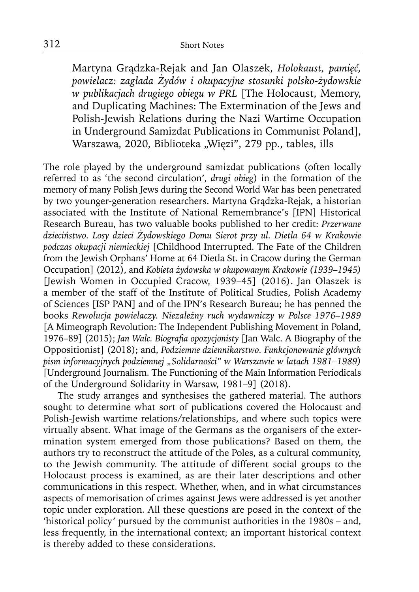Martyna Grądzka-Rejak and Jan Olaszek, *Holokaust, pamięć, powielacz: zagłada Żydów i okupacyjne stosunki polsko-żydowskie w publikacjach drugiego obiegu w PRL* [The Holocaust, Memory, and Duplicating Machines: The Extermination of the Jews and Polish-Jewish Relations during the Nazi Wartime Occupation in Underground Samizdat Publications in Communist Poland], Warszawa, 2020, Biblioteka "Więzi", 279 pp., tables, ills

The role played by the underground samizdat publications (often locally referred to as 'the second circulation', *drugi obieg*) in the formation of the memory of many Polish Jews during the Second World War has been penetrated by two younger-generation researchers. Martyna Grądzka-Rejak, a historian associated with the Institute of National Remembrance's [IPN] Historical Research Bureau, has two valuable books published to her credit: *Przerwane dzieciństwo. Losy dzieci Żydowskiego Domu Sierot przy ul. Dietla 64 w Krakowie podczas okupacji niemieckiej* [Childhood Interrupted. The Fate of the Children from the Jewish Orphans' Home at 64 Dietla St. in Cracow during the German Occupation] (2012), and *Kobieta żydowska w okupowanym Krakowie (1939–1945)*  [Jewish Women in Occupied Cracow, 1939–45] (2016). Jan Olaszek is a member of the staff of the Institute of Political Studies, Polish Academy of Sciences [ISP PAN] and of the IPN's Research Bureau; he has penned the books *Rewolucja powielaczy. Niezależny ruch wydawniczy w Polsce 1976–1989* [A Mimeograph Revolution: The Independent Publishing Movement in Poland, 1976–89] (2015); *Jan Walc. Biografia opozycjonisty* [Jan Walc. A Biography of the Oppositionist] (2018); and, *Podziemne dziennikarstwo. Funkcjonowanie głównych pism informacyjnych podziemnej "Solidarności" w Warszawie w latach 1981–1989)*  [Underground Journalism. The Functioning of the Main Information Periodicals of the Underground Solidarity in Warsaw, 1981–9] (2018).

The study arranges and synthesises the gathered material. The authors sought to determine what sort of publications covered the Holocaust and Polish-Jewish wartime relations/relationships, and where such topics were virtually absent. What image of the Germans as the organisers of the extermination system emerged from those publications? Based on them, the authors try to reconstruct the attitude of the Poles, as a cultural community, to the Jewish community. The attitude of different social groups to the Holocaust process is examined, as are their later descriptions and other communications in this respect. Whether, when, and in what circumstances aspects of memorisation of crimes against Jews were addressed is yet another topic under exploration. All these questions are posed in the context of the 'historical policy' pursued by the communist authorities in the 1980s – and, less frequently, in the international context; an important historical context is thereby added to these considerations.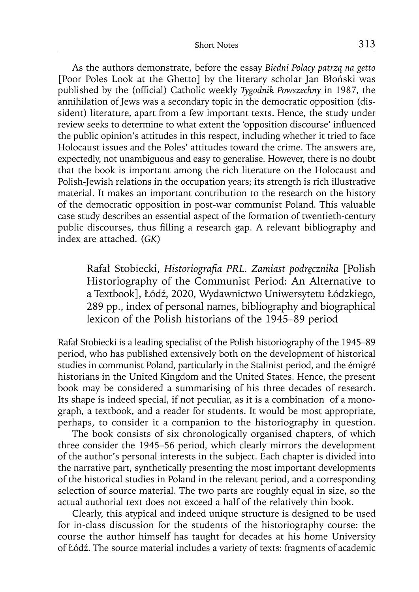As the authors demonstrate, before the essay *Biedni Polacy patrzą na getto* [Poor Poles Look at the Ghetto] by the literary scholar Jan Błoński was published by the (official) Catholic weekly *Tygodnik Powszechny* in 1987, the annihilation of Jews was a secondary topic in the democratic opposition (dissident) literature, apart from a few important texts. Hence, the study under review seeks to determine to what extent the 'opposition discourse' influenced the public opinion's attitudes in this respect, including whether it tried to face Holocaust issues and the Poles' attitudes toward the crime. The answers are, expectedly, not unambiguous and easy to generalise. However, there is no doubt that the book is important among the rich literature on the Holocaust and Polish-Jewish relations in the occupation years; its strength is rich illustrative material. It makes an important contribution to the research on the history of the democratic opposition in post-war communist Poland. This valuable case study describes an essential aspect of the formation of twentieth-century public discourses, thus filling a research gap. A relevant bibliography and index are attached. (*GK*)

Rafał Stobiecki, *Historiografi a PRL. Zamiast podręcznika* [Polish Historiography of the Communist Period: An Alternative to a Textbook], Łódź, 2020, Wydawnictwo Uniwersytetu Łódzkiego, 289 pp., index of personal names, bibliography and biographical lexicon of the Polish historians of the 1945–89 period

Rafał Stobiecki is a leading specialist of the Polish historiography of the 1945–89 period, who has published extensively both on the development of historical studies in communist Poland, particularly in the Stalinist period, and the émigré historians in the United Kingdom and the United States. Hence, the present book may be considered a summarising of his three decades of research. Its shape is indeed special, if not peculiar, as it is a combination of a monograph, a textbook, and a reader for students. It would be most appropriate, perhaps, to consider it a companion to the historiography in question.

The book consists of six chronologically organised chapters, of which three consider the 1945–56 period, which clearly mirrors the development of the author's personal interests in the subject. Each chapter is divided into the narrative part, synthetically presenting the most important developments of the historical studies in Poland in the relevant period, and a corresponding selection of source material. The two parts are roughly equal in size, so the actual authorial text does not exceed a half of the relatively thin book.

Clearly, this atypical and indeed unique structure is designed to be used for in-class discussion for the students of the historiography course: the course the author himself has taught for decades at his home University of Łódź. The source material includes a variety of texts: fragments of academic